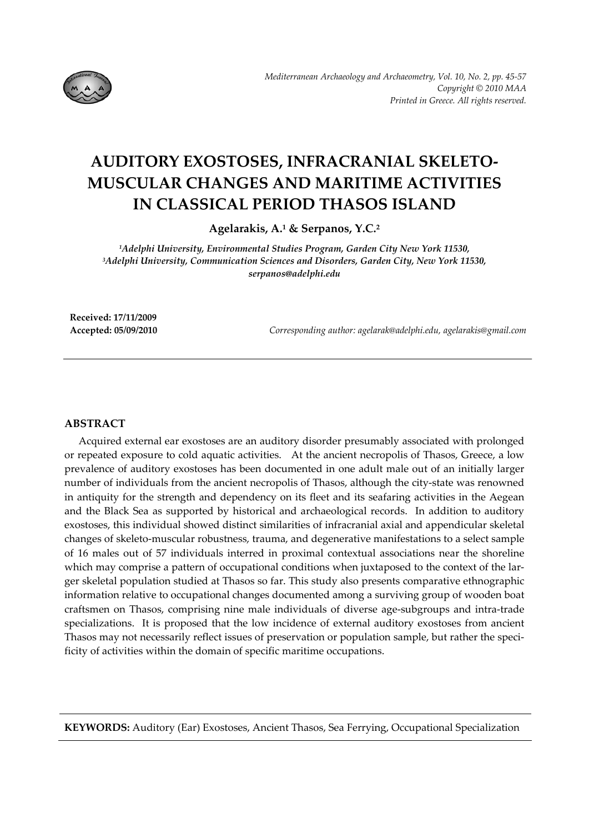

# **AUDITORY EXOSTOSES, INFRACRANIAL SKELETO‐ MUSCULAR CHANGES AND MARITIME ACTIVITIES IN CLASSICAL PERIOD THASOS ISLAND**

**Agelarakis, A.1 & Serpanos, Y.C.2**

*1Adelphi University, Environmental Studies Program, Garden City New York 11530, 3Adelphi University, Communication Sciences and Disorders, Garden City, New York 11530, serpanos@adelphi.edu*

**Received: 17/11/2009**

**Accepted: 05/09/2010** *Corresponding author: agelarak@adelphi.edu, agelarakis@gmail.com*

## **ABSTRACT**

Acquired external ear exostoses are an auditory disorder presumably associated with prolonged or repeated exposure to cold aquatic activities. At the ancient necropolis of Thasos, Greece, a low prevalence of auditory exostoses has been documented in one adult male out of an initially larger number of individuals from the ancient necropolis of Thasos, although the city‐state was renowned in antiquity for the strength and dependency on its fleet and its seafaring activities in the Aegean and the Black Sea as supported by historical and archaeological records. In addition to auditory exostoses, this individual showed distinct similarities of infracranial axial and appendicular skeletal changes of skeleto‐muscular robustness, trauma, and degenerative manifestations to a select sample of 16 males out of 57 individuals interred in proximal contextual associations near the shoreline which may comprise a pattern of occupational conditions when juxtaposed to the context of the larger skeletal population studied at Thasos so far. This study also presents comparative ethnographic information relative to occupational changes documented among a surviving group of wooden boat craftsmen on Thasos, comprising nine male individuals of diverse age‐subgroups and intra‐trade specializations. It is proposed that the low incidence of external auditory exostoses from ancient Thasos may not necessarily reflect issues of preservation or population sample, but rather the specificity of activities within the domain of specific maritime occupations.

**KEYWORDS:** Auditory (Ear) Exostoses, Ancient Thasos, Sea Ferrying, Occupational Specialization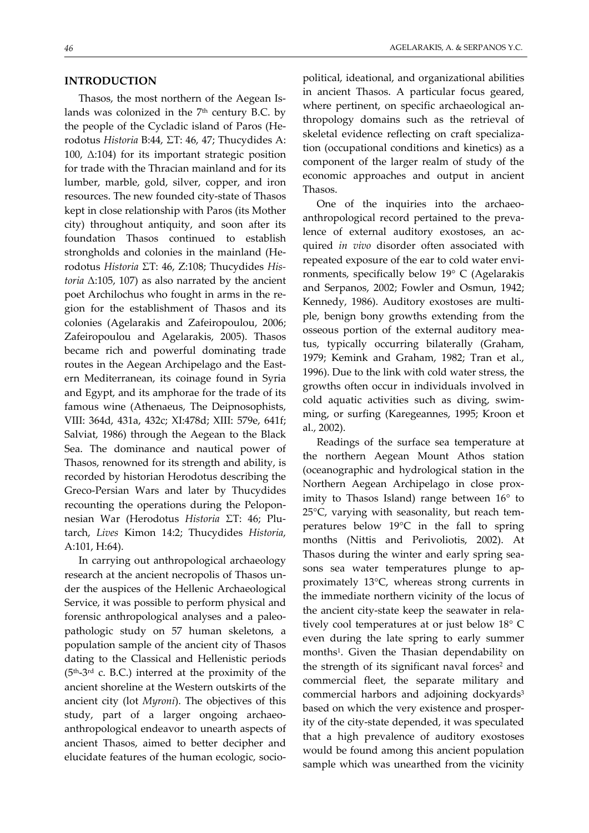### **INTRODUCTION**

Thasos, the most northern of the Aegean Is‐ lands was colonized in the  $7<sup>th</sup>$  century B.C. by the people of the Cycladic island of Paros (He‐ rodotus *Historia* B:44, ΣΤ: 46, 47; Thucydides A: 100,  $Δ:104$ ) for its important strategic position for trade with the Thracian mainland and for its lumber, marble, gold, silver, copper, and iron resources. The new founded city‐state of Thasos kept in close relationship with Paros (its Mother city) throughout antiquity, and soon after its foundation Thasos continued to establish strongholds and colonies in the mainland (He‐ rodotus *Historia* ΣΤ: 46, Z:108; Thucydides *His‐ toria* Δ:105, 107) as also narrated by the ancient poet Archilochus who fought in arms in the re‐ gion for the establishment of Thasos and its colonies (Agelarakis and Zafeiropoulou, 2006; Zafeiropoulou and Agelarakis, 2005). Thasos became rich and powerful dominating trade routes in the Aegean Archipelago and the East‐ ern Mediterranean, its coinage found in Syria and Egypt, and its amphorae for the trade of its famous wine (Athenaeus, The Deipnosophists, VIII: 364d, 431a, 432c; XI:478d; XIII: 579e, 641f; Salviat, 1986) through the Aegean to the Black Sea. The dominance and nautical power of Thasos, renowned for its strength and ability, is recorded by historian Herodotus describing the Greco‐Persian Wars and later by Thucydides recounting the operations during the Pelopon‐ nesian War (Herodotus *Historia* ΣΤ: 46; Plu‐ tarch, *Lives* Kimon 14:2; Thucydides *Historia*, A:101, H:64).

In carrying out anthropological archaeology research at the ancient necropolis of Thasos un‐ der the auspices of the Hellenic Archaeological Service, it was possible to perform physical and forensic anthropological analyses and a paleopathologic study on 57 human skeletons, a population sample of the ancient city of Thasos dating to the Classical and Hellenistic periods  $(5<sup>th</sup>-3<sup>rd</sup>$  c. B.C.) interred at the proximity of the ancient shoreline at the Western outskirts of the ancient city (lot *Myroni*). The objectives of this study, part of a larger ongoing archaeoanthropological endeavor to unearth aspects of ancient Thasos, aimed to better decipher and elucidate features of the human ecologic, socio‐

political, ideational, and organizational abilities in ancient Thasos. A particular focus geared, where pertinent, on specific archaeological anthropology domains such as the retrieval of skeletal evidence reflecting on craft specializa‐ tion (occupational conditions and kinetics) as a component of the larger realm of study of the economic approaches and output in ancient Thasos.

One of the inquiries into the archaeoanthropological record pertained to the preva‐ lence of external auditory exostoses, an acquired *in vivo* disorder often associated with repeated exposure of the ear to cold water envi‐ ronments, specifically below 19° C (Agelarakis and Serpanos, 2002; Fowler and Osmun, 1942; Kennedy, 1986). Auditory exostoses are multi‐ ple, benign bony growths extending from the osseous portion of the external auditory mea‐ tus, typically occurring bilaterally (Graham, 1979; Kemink and Graham, 1982; Tran et al., 1996). Due to the link with cold water stress, the growths often occur in individuals involved in cold aquatic activities such as diving, swim‐ ming, or surfing (Karegeannes, 1995; Kroon et al., 2002).

Readings of the surface sea temperature at the northern Aegean Mount Athos station (oceanographic and hydrological station in the Northern Aegean Archipelago in close prox‐ imity to Thasos Island) range between 16° to 25°C, varying with seasonality, but reach tem‐ peratures below 19°C in the fall to spring months (Nittis and Perivoliotis, 2002). At Thasos during the winter and early spring sea‐ sons sea water temperatures plunge to approximately 13°C, whereas strong currents in the immediate northern vicinity of the locus of the ancient city‐state keep the seawater in rela‐ tively cool temperatures at or just below 18° C even during the late spring to early summer months1. Given the Thasian dependability on the strength of its significant naval forces<sup>2</sup> and commercial fleet, the separate military and commercial harbors and adjoining dockyards<sup>3</sup> based on which the very existence and prosper‐ ity of the city‐state depended, it was speculated that a high prevalence of auditory exostoses would be found among this ancient population sample which was unearthed from the vicinity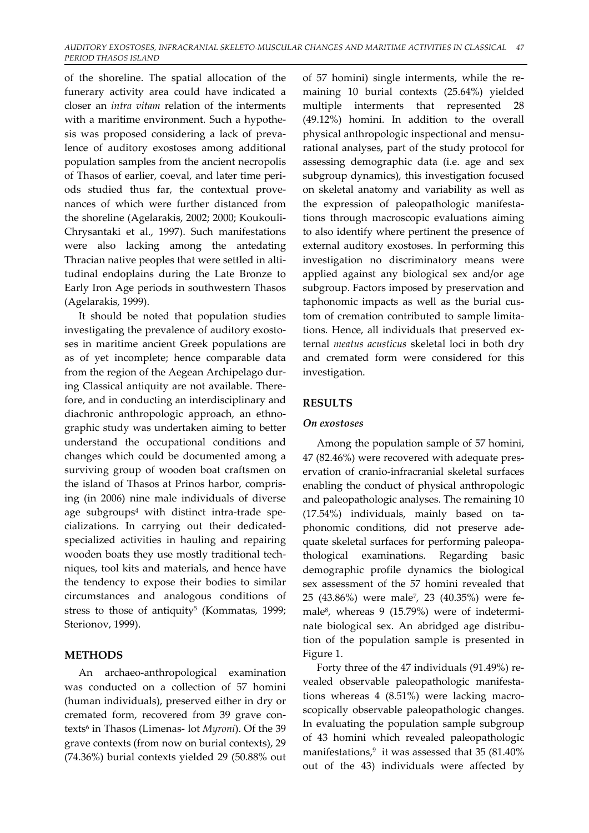of the shoreline. The spatial allocation of the funerary activity area could have indicated a closer an *intra vitam* relation of the interments with a maritime environment. Such a hypothe‐ sis was proposed considering a lack of preva‐ lence of auditory exostoses among additional population samples from the ancient necropolis of Thasos of earlier, coeval, and later time peri‐ ods studied thus far, the contextual provenances of which were further distanced from the shoreline (Agelarakis, 2002; 2000; Koukouli‐ Chrysantaki et al., 1997). Such manifestations were also lacking among the antedating Thracian native peoples that were settled in alti‐ tudinal endoplains during the Late Bronze to Early Iron Age periods in southwestern Thasos (Agelarakis, 1999).

It should be noted that population studies investigating the prevalence of auditory exosto‐ ses in maritime ancient Greek populations are as of yet incomplete; hence comparable data from the region of the Aegean Archipelago dur‐ ing Classical antiquity are not available. There‐ fore, and in conducting an interdisciplinary and diachronic anthropologic approach, an ethno‐ graphic study was undertaken aiming to better understand the occupational conditions and changes which could be documented among a surviving group of wooden boat craftsmen on the island of Thasos at Prinos harbor, compris‐ ing (in 2006) nine male individuals of diverse age subgroups $4$  with distinct intra-trade specializations. In carrying out their dedicated‐ specialized activities in hauling and repairing wooden boats they use mostly traditional tech‐ niques, tool kits and materials, and hence have the tendency to expose their bodies to similar circumstances and analogous conditions of stress to those of antiquity<sup>5</sup> (Kommatas, 1999; Sterionov, 1999).

## **METHODS**

An archaeo‐anthropological examination was conducted on a collection of 57 homini (human individuals), preserved either in dry or cremated form, recovered from 39 grave contexts6 in Thasos (Limenas‐ lot *Myroni*). Of the 39 grave contexts (from now on burial contexts), 29 (74.36%) burial contexts yielded 29 (50.88% out of 57 homini) single interments, while the re‐ maining 10 burial contexts (25.64%) yielded multiple interments that represented 28 (49.12%) homini. In addition to the overall physical anthropologic inspectional and mensu‐ rational analyses, part of the study protocol for assessing demographic data (i.e. age and sex subgroup dynamics), this investigation focused on skeletal anatomy and variability as well as the expression of paleopathologic manifesta‐ tions through macroscopic evaluations aiming to also identify where pertinent the presence of external auditory exostoses. In performing this investigation no discriminatory means were applied against any biological sex and/or age subgroup. Factors imposed by preservation and taphonomic impacts as well as the burial custom of cremation contributed to sample limitations. Hence, all individuals that preserved ex‐ ternal *meatus acusticus* skeletal loci in both dry and cremated form were considered for this investigation.

# **RESULTS**

## *On exostoses*

Among the population sample of 57 homini, 47 (82.46%) were recovered with adequate pres‐ ervation of cranio‐infracranial skeletal surfaces enabling the conduct of physical anthropologic and paleopathologic analyses. The remaining 10 (17.54%) individuals, mainly based on ta‐ phonomic conditions, did not preserve ade‐ quate skeletal surfaces for performing paleopa‐ thological examinations. Regarding basic demographic profile dynamics the biological sex assessment of the 57 homini revealed that 25 (43.86%) were male7, 23 (40.35%) were fe‐ male<sup>8</sup>, whereas 9 (15.79%) were of indeterminate biological sex. An abridged age distribu‐ tion of the population sample is presented in Figure 1.

Forty three of the 47 individuals (91.49%) re‐ vealed observable paleopathologic manifesta‐ tions whereas 4 (8.51%) were lacking macro‐ scopically observable paleopathologic changes. In evaluating the population sample subgroup of 43 homini which revealed paleopathologic manifestations, $9$  it was assessed that 35 (81.40%) out of the 43) individuals were affected by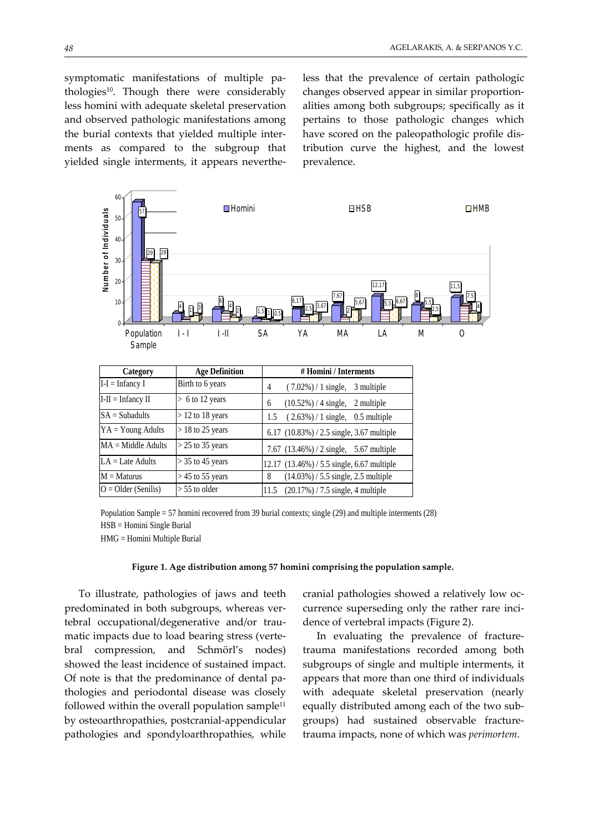symptomatic manifestations of multiple pathologies<sup>10</sup>. Though there were considerably less homini with adequate skeletal preservation and observed pathologic manifestations among the burial contexts that yielded multiple inter‐ ments as compared to the subgroup that yielded single interments, it appears neverthe‐ less that the prevalence of certain pathologic changes observed appear in similar proportion‐ alities among both subgroups; specifically as it pertains to those pathologic changes which have scored on the paleopathologic profile dis‐ tribution curve the highest, and the lowest prevalence.



Population Sample = 57 homini recovered from 39 burial contexts; single (29) and multiple interments (28) HSB = Homini Single Burial HMG = Homini Multiple Burial

#### **Figure 1. Age distribution among 57 homini comprising the population sample.**

To illustrate, pathologies of jaws and teeth predominated in both subgroups, whereas ver‐ tebral occupational/degenerative and/or trau‐ matic impacts due to load bearing stress (verte‐ bral compression, and Schmörl's nodes) showed the least incidence of sustained impact. Of note is that the predominance of dental pa‐ thologies and periodontal disease was closely followed within the overall population sample $11$ by osteoarthropathies, postcranial‐appendicular pathologies and spondyloarthropathies, while

cranial pathologies showed a relatively low oc‐ currence superseding only the rather rare incidence of vertebral impacts (Figure 2).

In evaluating the prevalence of fracture‐ trauma manifestations recorded among both subgroups of single and multiple interments, it appears that more than one third of individuals with adequate skeletal preservation (nearly equally distributed among each of the two sub‐ groups) had sustained observable fracture‐ trauma impacts, none of which was *perimortem*.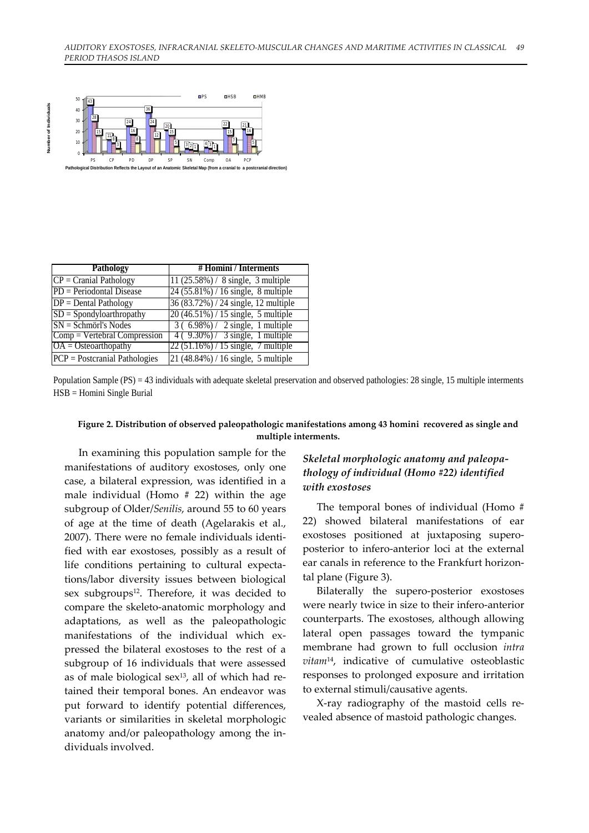

| <b>Pathology</b>                | #Homini / Interments                 |
|---------------------------------|--------------------------------------|
| $CP =$ Cranial Pathology        | 11 (25.58%) / 8 single, 3 multiple   |
| $PD = Periodontal Disease$      | 24 (55.81%) / 16 single, 8 multiple  |
| $DP = Dental Pathology$         | 36 (83.72%) / 24 single, 12 multiple |
| $SD = Spondyloarthropathy$      | $20(46.51%) / 15$ single, 5 multiple |
| $SN = Schmörl's Nodes$          | $3(6.98\%)/2$ single, 1 multiple     |
| $Comp = Vertebral Compression$  | $4(9.30\%)/3$ single, 1 multiple     |
| $OA = Osteoarthopathy$          | $22(51.16%) / 15$ single, 7 multiple |
| $PCP = Postcranial Pathologies$ | 21 (48.84%) / 16 single, 5 multiple  |

Population Sample (PS) = 43 individuals with adequate skeletal preservation and observed pathologies: 28 single, 15 multiple interments HSB = Homini Single Burial

## **Figure 2. Distribution of observed paleopathologic manifestations among 43 homini recovered as single and multiple interments.**

In examining this population sample for the manifestations of auditory exostoses, only one case, a bilateral expression, was identified in a male individual (Homo # 22) within the age subgroup of Older/*Senilis*, around 55 to 60 years of age at the time of death (Agelarakis et al., 2007). There were no female individuals identi‐ fied with ear exostoses, possibly as a result of life conditions pertaining to cultural expecta‐ tions/labor diversity issues between biological sex subgroups<sup>12</sup>. Therefore, it was decided to compare the skeleto‐anatomic morphology and adaptations, as well as the paleopathologic manifestations of the individual which expressed the bilateral exostoses to the rest of a subgroup of 16 individuals that were assessed as of male biological sex $13$ , all of which had retained their temporal bones. An endeavor was put forward to identify potential differences, variants or similarities in skeletal morphologic anatomy and/or paleopathology among the in‐ dividuals involved.

## *Skeletal morphologic anatomy and paleopa‐ thology of individual (Homo #22) identified with exostoses*

The temporal bones of individual (Homo # 22) showed bilateral manifestations of ear exostoses positioned at juxtaposing supero‐ posterior to infero‐anterior loci at the external ear canals in reference to the Frankfurt horizontal plane (Figure 3).

Bilaterally the supero‐posterior exostoses were nearly twice in size to their infero-anterior counterparts. The exostoses, although allowing lateral open passages toward the tympanic membrane had grown to full occlusion *intra vitam*14, indicative of cumulative osteoblastic responses to prolonged exposure and irritation to external stimuli/causative agents.

X‐ray radiography of the mastoid cells re‐ vealed absence of mastoid pathologic changes.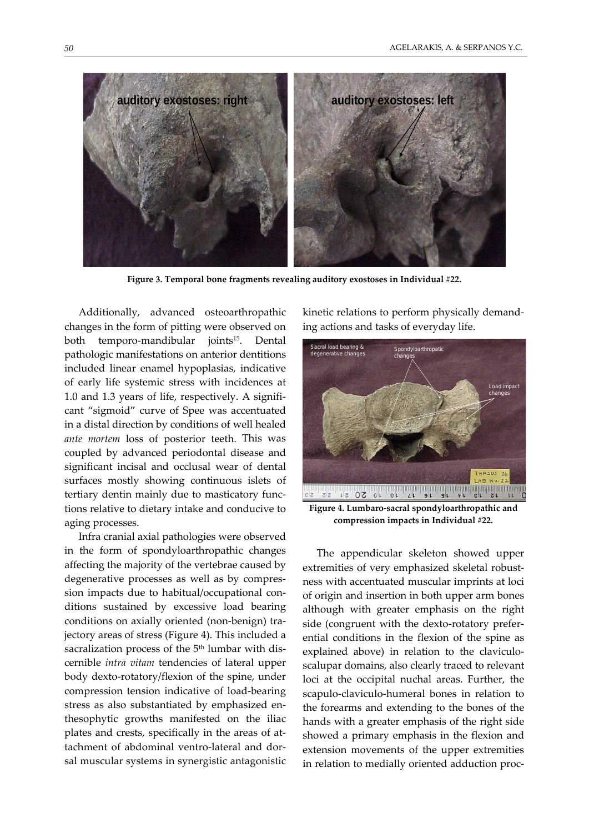

**Figure 3. Temporal bone fragments revealing auditory exostoses in Individual #22.**

Additionally, advanced osteoarthropathic changes in the form of pitting were observed on both temporo‐mandibular joints15. Dental pathologic manifestations on anterior dentitions included linear enamel hypoplasias, indicative of early life systemic stress with incidences at 1.0 and 1.3 years of life, respectively. A signifi‐ cant "sigmoid" curve of Spee was accentuated in a distal direction by conditions of well healed *ante mortem* loss of posterior teeth. This was coupled by advanced periodontal disease and significant incisal and occlusal wear of dental surfaces mostly showing continuous islets of tertiary dentin mainly due to masticatory func‐ tions relative to dietary intake and conducive to aging processes.

Infra cranial axial pathologies were observed in the form of spondyloarthropathic changes affecting the majority of the vertebrae caused by degenerative processes as well as by compres‐ sion impacts due to habitual/occupational con‐ ditions sustained by excessive load bearing conditions on axially oriented (non‐benign) tra‐ jectory areas of stress (Figure 4). This included a sacralization process of the 5<sup>th</sup> lumbar with discernible *intra vitam* tendencies of lateral upper body dexto‐rotatory/flexion of the spine, under compression tension indicative of load‐bearing stress as also substantiated by emphasized en‐ thesophytic growths manifested on the iliac plates and crests, specifically in the areas of at‐ tachment of abdominal ventro‐lateral and dor‐ sal muscular systems in synergistic antagonistic kinetic relations to perform physically demand‐ ing actions and tasks of everyday life.



**Figure 4. Lumbaro‐sacral spondyloarthropathic and compression impacts in Individual #22.**

The appendicular skeleton showed upper extremities of very emphasized skeletal robust‐ ness with accentuated muscular imprints at loci of origin and insertion in both upper arm bones although with greater emphasis on the right side (congruent with the dexto-rotatory preferential conditions in the flexion of the spine as explained above) in relation to the claviculoscalupar domains, also clearly traced to relevant loci at the occipital nuchal areas. Further, the scapulo‐claviculo‐humeral bones in relation to the forearms and extending to the bones of the hands with a greater emphasis of the right side showed a primary emphasis in the flexion and extension movements of the upper extremities in relation to medially oriented adduction proc‐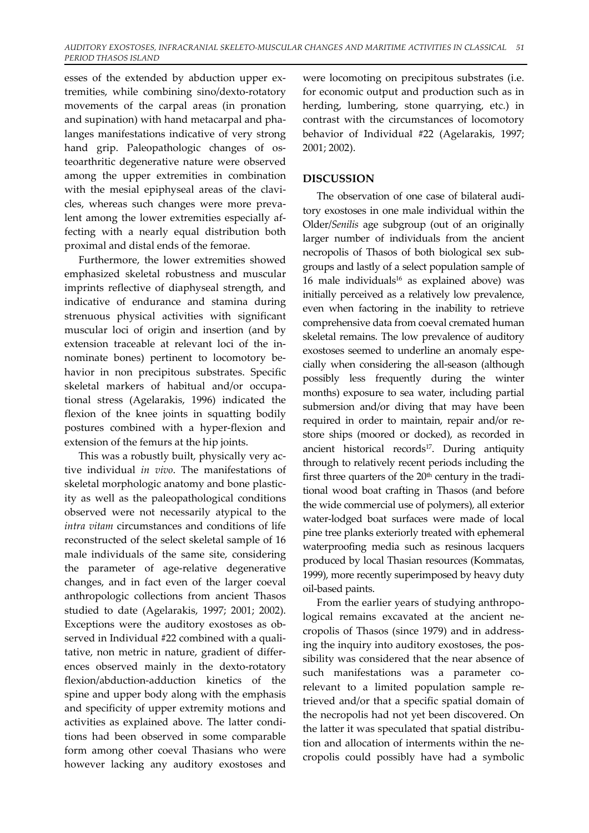esses of the extended by abduction upper extremities, while combining sino/dexto‐rotatory movements of the carpal areas (in pronation and supination) with hand metacarpal and pha‐ langes manifestations indicative of very strong hand grip. Paleopathologic changes of os‐ teoarthritic degenerative nature were observed among the upper extremities in combination with the mesial epiphyseal areas of the clavicles, whereas such changes were more prevalent among the lower extremities especially af‐ fecting with a nearly equal distribution both proximal and distal ends of the femorae.

Furthermore, the lower extremities showed emphasized skeletal robustness and muscular imprints reflective of diaphyseal strength, and indicative of endurance and stamina during strenuous physical activities with significant muscular loci of origin and insertion (and by extension traceable at relevant loci of the innominate bones) pertinent to locomotory be‐ havior in non precipitous substrates. Specific skeletal markers of habitual and/or occupa‐ tional stress (Agelarakis, 1996) indicated the flexion of the knee joints in squatting bodily postures combined with a hyper‐flexion and extension of the femurs at the hip joints.

This was a robustly built, physically very ac‐ tive individual *in vivo*. The manifestations of skeletal morphologic anatomy and bone plastic‐ ity as well as the paleopathological conditions observed were not necessarily atypical to the *intra vitam* circumstances and conditions of life reconstructed of the select skeletal sample of 16 male individuals of the same site, considering the parameter of age-relative degenerative changes, and in fact even of the larger coeval anthropologic collections from ancient Thasos studied to date (Agelarakis, 1997; 2001; 2002). Exceptions were the auditory exostoses as ob‐ served in Individual #22 combined with a quali‐ tative, non metric in nature, gradient of differ‐ ences observed mainly in the dexto‐rotatory flexion/abduction‐adduction kinetics of the spine and upper body along with the emphasis and specificity of upper extremity motions and activities as explained above. The latter condi‐ tions had been observed in some comparable form among other coeval Thasians who were however lacking any auditory exostoses and

were locomoting on precipitous substrates (i.e. for economic output and production such as in herding, lumbering, stone quarrying, etc.) in contrast with the circumstances of locomotory behavior of Individual #22 (Agelarakis, 1997; 2001; 2002).

## **DISCUSSION**

The observation of one case of bilateral audi‐ tory exostoses in one male individual within the Older/*Senilis* age subgroup (out of an originally larger number of individuals from the ancient necropolis of Thasos of both biological sex sub‐ groups and lastly of a select population sample of 16 male individuals $16$  as explained above) was initially perceived as a relatively low prevalence, even when factoring in the inability to retrieve comprehensive data from coeval cremated human skeletal remains. The low prevalence of auditory exostoses seemed to underline an anomaly especially when considering the all‐season (although possibly less frequently during the winter months) exposure to sea water, including partial submersion and/or diving that may have been required in order to maintain, repair and/or restore ships (moored or docked), as recorded in ancient historical records<sup>17</sup>. During antiquity through to relatively recent periods including the first three quarters of the  $20<sup>th</sup>$  century in the traditional wood boat crafting in Thasos (and before the wide commercial use of polymers), all exterior water‐lodged boat surfaces were made of local pine tree planks exteriorly treated with ephemeral waterproofing media such as resinous lacquers produced by local Thasian resources (Kommatas, 1999), more recently superimposed by heavy duty oil‐based paints.

From the earlier years of studying anthropological remains excavated at the ancient ne‐ cropolis of Thasos (since 1979) and in address‐ ing the inquiry into auditory exostoses, the pos‐ sibility was considered that the near absence of such manifestations was a parameter corelevant to a limited population sample retrieved and/or that a specific spatial domain of the necropolis had not yet been discovered. On the latter it was speculated that spatial distribu‐ tion and allocation of interments within the necropolis could possibly have had a symbolic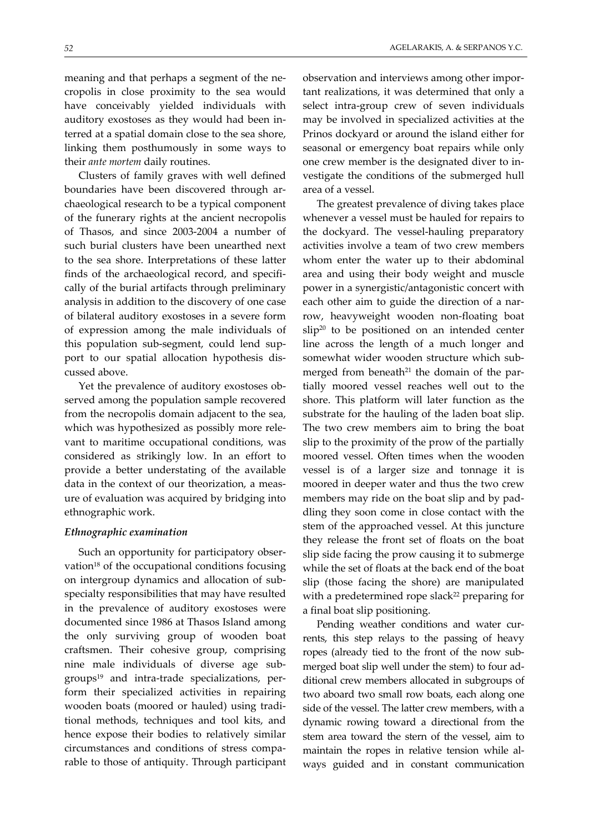meaning and that perhaps a segment of the necropolis in close proximity to the sea would have conceivably yielded individuals with auditory exostoses as they would had been in‐ terred at a spatial domain close to the sea shore, linking them posthumously in some ways to their *ante mortem* daily routines.

Clusters of family graves with well defined boundaries have been discovered through ar‐ chaeological research to be a typical component of the funerary rights at the ancient necropolis of Thasos, and since 2003‐2004 a number of such burial clusters have been unearthed next to the sea shore. Interpretations of these latter finds of the archaeological record, and specifically of the burial artifacts through preliminary analysis in addition to the discovery of one case of bilateral auditory exostoses in a severe form of expression among the male individuals of this population sub‐segment, could lend sup‐ port to our spatial allocation hypothesis dis‐ cussed above.

Yet the prevalence of auditory exostoses observed among the population sample recovered from the necropolis domain adjacent to the sea, which was hypothesized as possibly more relevant to maritime occupational conditions, was considered as strikingly low. In an effort to provide a better understating of the available data in the context of our theorization, a meas‐ ure of evaluation was acquired by bridging into ethnographic work.

#### *Ethnographic examination*

Such an opportunity for participatory obser‐ vation $18$  of the occupational conditions focusing on intergroup dynamics and allocation of sub‐ specialty responsibilities that may have resulted in the prevalence of auditory exostoses were documented since 1986 at Thasos Island among the only surviving group of wooden boat craftsmen. Their cohesive group, comprising nine male individuals of diverse age sub‐ groups<sup>19</sup> and intra-trade specializations, perform their specialized activities in repairing wooden boats (moored or hauled) using tradi‐ tional methods, techniques and tool kits, and hence expose their bodies to relatively similar circumstances and conditions of stress compa‐ rable to those of antiquity. Through participant

observation and interviews among other impor‐ tant realizations, it was determined that only a select intra‐group crew of seven individuals may be involved in specialized activities at the Prinos dockyard or around the island either for seasonal or emergency boat repairs while only one crew member is the designated diver to in‐ vestigate the conditions of the submerged hull area of a vessel.

The greatest prevalence of diving takes place whenever a vessel must be hauled for repairs to the dockyard. The vessel‐hauling preparatory activities involve a team of two crew members whom enter the water up to their abdominal area and using their body weight and muscle power in a synergistic/antagonistic concert with each other aim to guide the direction of a narrow, heavyweight wooden non‐floating boat  $slip<sup>20</sup>$  to be positioned on an intended center line across the length of a much longer and somewhat wider wooden structure which sub‐ merged from beneath<sup>21</sup> the domain of the partially moored vessel reaches well out to the shore. This platform will later function as the substrate for the hauling of the laden boat slip. The two crew members aim to bring the boat slip to the proximity of the prow of the partially moored vessel. Often times when the wooden vessel is of a larger size and tonnage it is moored in deeper water and thus the two crew members may ride on the boat slip and by pad‐ dling they soon come in close contact with the stem of the approached vessel. At this juncture they release the front set of floats on the boat slip side facing the prow causing it to submerge while the set of floats at the back end of the boat slip (those facing the shore) are manipulated with a predetermined rope slack<sup>22</sup> preparing for a final boat slip positioning.

Pending weather conditions and water currents, this step relays to the passing of heavy ropes (already tied to the front of the now sub‐ merged boat slip well under the stem) to four additional crew members allocated in subgroups of two aboard two small row boats, each along one side of the vessel. The latter crew members, with a dynamic rowing toward a directional from the stem area toward the stern of the vessel, aim to maintain the ropes in relative tension while al‐ ways guided and in constant communication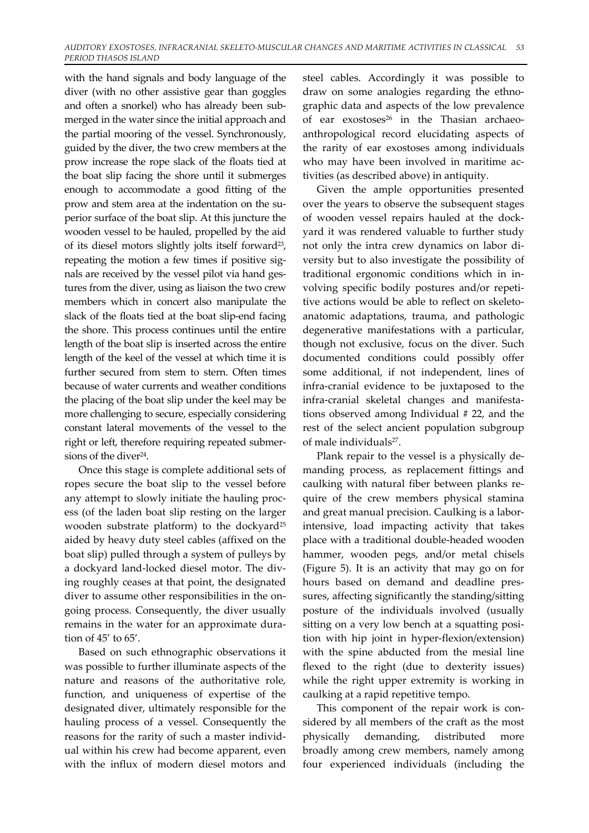with the hand signals and body language of the diver (with no other assistive gear than goggles and often a snorkel) who has already been sub‐ merged in the water since the initial approach and the partial mooring of the vessel. Synchronously, guided by the diver, the two crew members at the prow increase the rope slack of the floats tied at the boat slip facing the shore until it submerges enough to accommodate a good fitting of the prow and stem area at the indentation on the superior surface of the boat slip. At this juncture the wooden vessel to be hauled, propelled by the aid of its diesel motors slightly jolts itself forward23, repeating the motion a few times if positive sig‐ nals are received by the vessel pilot via hand gestures from the diver, using as liaison the two crew members which in concert also manipulate the slack of the floats tied at the boat slip-end facing the shore. This process continues until the entire length of the boat slip is inserted across the entire length of the keel of the vessel at which time it is further secured from stem to stern. Often times because of water currents and weather conditions the placing of the boat slip under the keel may be more challenging to secure, especially considering constant lateral movements of the vessel to the right or left, therefore requiring repeated submersions of the diver<sup>24</sup>.

Once this stage is complete additional sets of ropes secure the boat slip to the vessel before any attempt to slowly initiate the hauling proc‐ ess (of the laden boat slip resting on the larger wooden substrate platform) to the dockyard<sup>25</sup> aided by heavy duty steel cables (affixed on the boat slip) pulled through a system of pulleys by a dockyard land‐locked diesel motor. The div‐ ing roughly ceases at that point, the designated diver to assume other responsibilities in the on‐ going process. Consequently, the diver usually remains in the water for an approximate dura‐ tion of 45' to 65'.

Based on such ethnographic observations it was possible to further illuminate aspects of the nature and reasons of the authoritative role, function, and uniqueness of expertise of the designated diver, ultimately responsible for the hauling process of a vessel. Consequently the reasons for the rarity of such a master individ‐ ual within his crew had become apparent, even with the influx of modern diesel motors and

steel cables. Accordingly it was possible to draw on some analogies regarding the ethnographic data and aspects of the low prevalence of ear exostoses<sup>26</sup> in the Thasian archaeoanthropological record elucidating aspects of the rarity of ear exostoses among individuals who may have been involved in maritime activities (as described above) in antiquity.

Given the ample opportunities presented over the years to observe the subsequent stages of wooden vessel repairs hauled at the dock‐ yard it was rendered valuable to further study not only the intra crew dynamics on labor di‐ versity but to also investigate the possibility of traditional ergonomic conditions which in in‐ volving specific bodily postures and/or repeti‐ tive actions would be able to reflect on skeletoanatomic adaptations, trauma, and pathologic degenerative manifestations with a particular, though not exclusive, focus on the diver. Such documented conditions could possibly offer some additional, if not independent, lines of infra‐cranial evidence to be juxtaposed to the infra‐cranial skeletal changes and manifesta‐ tions observed among Individual # 22, and the rest of the select ancient population subgroup of male individuals<sup>27</sup>.

Plank repair to the vessel is a physically de‐ manding process, as replacement fittings and caulking with natural fiber between planks re‐ quire of the crew members physical stamina and great manual precision. Caulking is a labor‐ intensive, load impacting activity that takes place with a traditional double‐headed wooden hammer, wooden pegs, and/or metal chisels (Figure 5). It is an activity that may go on for hours based on demand and deadline pres‐ sures, affecting significantly the standing/sitting posture of the individuals involved (usually sitting on a very low bench at a squatting position with hip joint in hyper‐flexion/extension) with the spine abducted from the mesial line flexed to the right (due to dexterity issues) while the right upper extremity is working in caulking at a rapid repetitive tempo.

This component of the repair work is considered by all members of the craft as the most physically demanding, distributed more broadly among crew members, namely among four experienced individuals (including the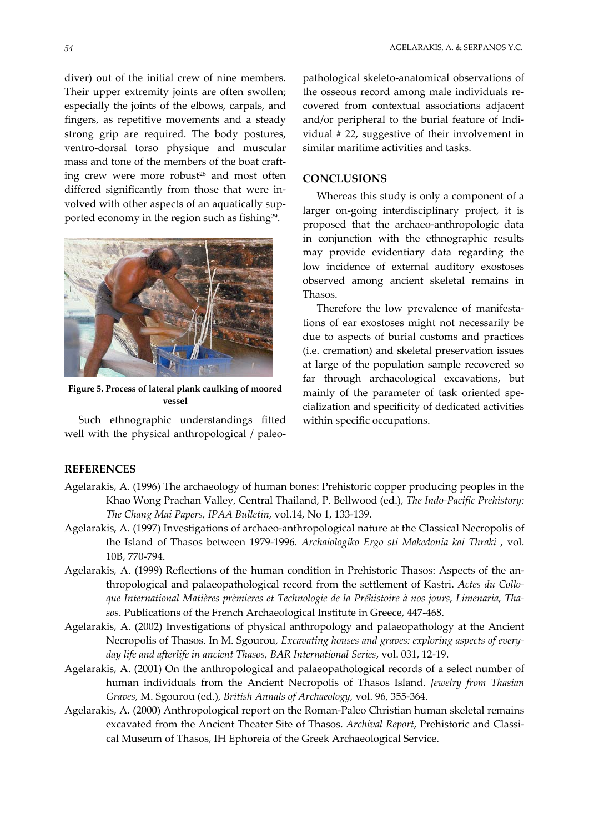strong grip are required. The body postures, ventro‐dorsal torso physique and muscular mass and tone of the members of the boat craft‐ ing crew were more robust<sup>28</sup> and most often differed significantly from those that were in‐ volved with other aspects of an aquatically sup‐ ported economy in the region such as fishing<sup>29</sup>.



**Figure 5. Process of lateral plank caulking of moored vessel**

Such ethnographic understandings fitted well with the physical anthropological / paleopathological skeleto‐anatomical observations of the osseous record among male individuals recovered from contextual associations adjacent and/or peripheral to the burial feature of Indi‐ vidual # 22, suggestive of their involvement in similar maritime activities and tasks.

## **CONCLUSIONS**

Whereas this study is only a component of a larger on‐going interdisciplinary project, it is proposed that the archaeo‐anthropologic data in conjunction with the ethnographic results may provide evidentiary data regarding the low incidence of external auditory exostoses observed among ancient skeletal remains in Thasos.

Therefore the low prevalence of manifestations of ear exostoses might not necessarily be due to aspects of burial customs and practices (i.e. cremation) and skeletal preservation issues at large of the population sample recovered so far through archaeological excavations, but mainly of the parameter of task oriented specialization and specificity of dedicated activities within specific occupations.

## **REFERENCES**

- Agelarakis, A. (1996) The archaeology of human bones: Prehistoric copper producing peoples in the Khao Wong Prachan Valley, Central Thailand, P. Bellwood (ed.), *The Indo‐Pacific Prehistory: The Chang Mai Papers, IPAA Bulletin,* vol.14, No 1, 133‐139.
- Agelarakis, A. (1997) Investigations of archaeo‐anthropological nature at the Classical Necropolis of the Island of Thasos between 1979‐1996. *Archaiologiko Ergo sti Makedonia kai Thraki* , vol. 10B, 770‐794.
- Agelarakis, A. (1999) Reflections of the human condition in Prehistoric Thasos: Aspects of the an‐ thropological and palaeopathological record from the settlement of Kastri. *Actes du Collo‐ que International Matières prèmieres et Technologie de la Préhistoire à nos jours, Limenaria, Tha‐ sos*. Publications of the French Archaeological Institute in Greece, 447‐468.
- Agelarakis, A. (2002) Investigations of physical anthropology and palaeopathology at the Ancient Necropolis of Thasos. In M. Sgourou, *Excavating houses and graves: exploring aspects of every‐ day life and afterlife in ancient Thasos, BAR International Series*, vol. 031, 12‐19.
- Agelarakis, A. (2001) On the anthropological and palaeopathological records of a select number of human individuals from the Ancient Necropolis of Thasos Island. *Jewelry from Thasian Graves,* M. Sgourou (ed.), *British Annals of Archaeology,* vol. 96, 355‐364.
- Agelarakis, A. (2000) Anthropological report on the Roman‐Paleo Christian human skeletal remains excavated from the Ancient Theater Site of Thasos. *Archival Report*, Prehistoric and Classi‐ cal Museum of Thasos, IH Ephoreia of the Greek Archaeological Service.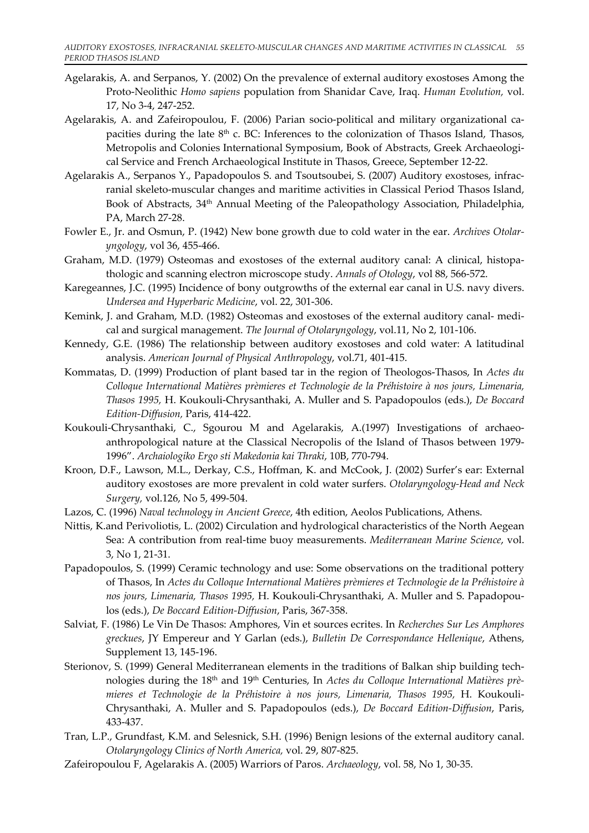- Agelarakis, A. and Serpanos, Y. (2002) On the prevalence of external auditory exostoses Among the Proto‐Neolithic *Homo sapiens* population from Shanidar Cave, Iraq. *Human Evolution,* vol. 17, No 3‐4, 247‐252.
- Agelarakis, A. and Zafeiropoulou, F. (2006) Parian socio-political and military organizational capacities during the late  $8<sup>th</sup>$  c. BC: Inferences to the colonization of Thasos Island, Thasos, Metropolis and Colonies International Symposium, Book of Abstracts, Greek Archaeological Service and French Archaeological Institute in Thasos, Greece, September 12‐22.
- Agelarakis A., Serpanos Y., Papadopoulos S. and Tsoutsoubei, S. (2007) Auditory exostoses, infrac‐ ranial skeleto‐muscular changes and maritime activities in Classical Period Thasos Island, Book of Abstracts, 34<sup>th</sup> Annual Meeting of the Paleopathology Association, Philadelphia, PA, March 27‐28.
- Fowler E., Jr. and Osmun, P. (1942) New bone growth due to cold water in the ear. *Archives Otolar‐ yngology*, vol 36, 455‐466.
- Graham, M.D. (1979) Osteomas and exostoses of the external auditory canal: A clinical, histopathologic and scanning electron microscope study. *Annals of Otology*, vol 88, 566‐572.
- Karegeannes, J.C. (1995) Incidence of bony outgrowths of the external ear canal in U.S. navy divers. *Undersea and Hyperbaric Medicine*, vol. 22, 301‐306.
- Kemink, J. and Graham, M.D. (1982) Osteomas and exostoses of the external auditory canal‐ medi‐ cal and surgical management. *The Journal of Otolaryngology*, vol.11, No 2, 101‐106.
- Kennedy, G.E. (1986) The relationship between auditory exostoses and cold water: A latitudinal analysis. *American Journal of Physical Anthropology*, vol.71, 401‐415.
- Kommatas, D. (1999) Production of plant based tar in the region of Theologos‐Thasos, In *Actes du Colloque International Matières prèmieres et Technologie de la Préhistoire à nos jours, Limenaria, Thasos 1995,* H. Koukouli‐Chrysanthaki, A. Muller and S. Papadopoulos (eds.), *De Boccard Edition‐Diffusion,* Paris, 414‐422.
- Koukouli-Chrysanthaki, C., Sgourou M and Agelarakis, A.(1997) Investigations of archaeoanthropological nature at the Classical Necropolis of the Island of Thasos between 1979‐ 1996". *Archaiologiko Ergo sti Makedonia kai Thraki*, 10B, 770‐794.
- Kroon, D.F., Lawson, M.L., Derkay, C.S., Hoffman, K. and McCook, J. (2002) Surfer's ear: External auditory exostoses are more prevalent in cold water surfers. *Otolaryngology‐Head and Neck Surgery,* vol.126, No 5, 499‐504.
- Lazos, C. (1996) *Νaval technology in Ancient Greece*, 4th edition, Aeolos Publications, Athens.
- Nittis, K.and Perivoliotis, L. (2002) Circulation and hydrological characteristics of the North Aegean Sea: A contribution from real‐time buoy measurements. *Mediterranean Marine Science*, vol. 3, No 1, 21‐31.
- Papadopoulos, S. (1999) Ceramic technology and use: Some observations on the traditional pottery of Thasos, In *Actes du Colloque International Matières prèmieres et Technologie de la Préhistoire à nos jours, Limenaria, Thasos 1995,* H. Koukouli‐Chrysanthaki, A. Muller and S. Papadopou‐ los (eds.), *De Boccard Edition‐Diffusion*, Paris, 367‐358.
- Salviat, F. (1986) Le Vin De Thasos: Amphores, Vin et sources ecrites. In *Recherches Sur Les Amphores greckues*, JY Empereur and Y Garlan (eds.), *Bulletin De Correspondance Hellenique*, Athens, Supplement 13, 145‐196.
- Sterionov, S. (1999) General Mediterranean elements in the traditions of Balkan ship building technologies during the 18th and 19th Centuries, In *Actes du Colloque International Matières prè‐ mieres et Technologie de la Préhistoire à nos jours, Limenaria, Thasos 1995,* H. Koukouli‐ Chrysanthaki, A. Muller and S. Papadopoulos (eds.), *De Boccard Edition‐Diffusion*, Paris, 433‐437.
- Tran, L.P., Grundfast, K.M. and Selesnick, S.H. (1996) Benign lesions of the external auditory canal. *Otolaryngology Clinics of North America,* vol. 29, 807‐825.
- Zafeiropoulou F, Agelarakis A. (2005) Warriors of Paros. *Archaeology*, vol. 58, No 1, 30‐35.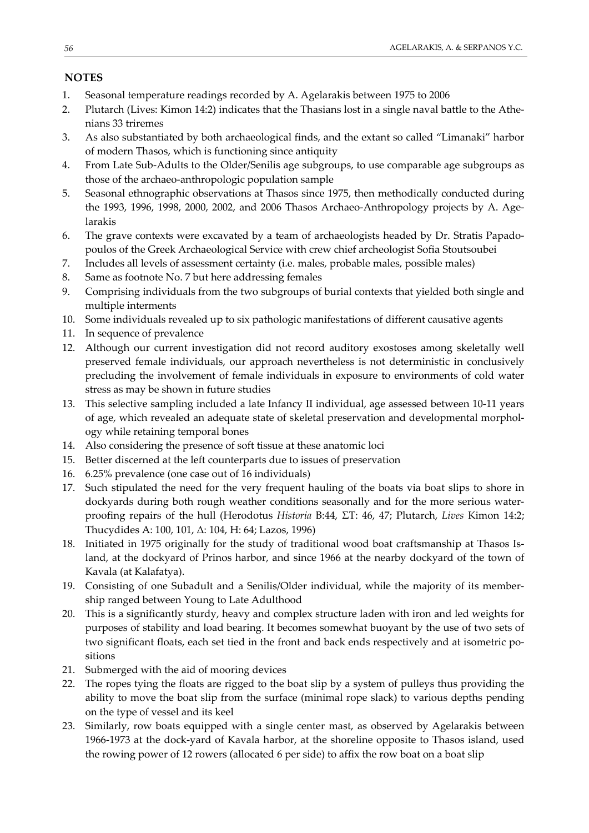# **NOTES**

- 1. Seasonal temperature readings recorded by A. Agelarakis between 1975 to 2006
- 2. Plutarch (Lives: Kimon 14:2) indicates that the Thasians lost in a single naval battle to the Athe‐ nians 33 triremes
- 3. As also substantiated by both archaeological finds, and the extant so called "Limanaki" harbor of modern Thasos, which is functioning since antiquity
- 4. From Late Sub‐Adults to the Older/Senilis age subgroups, to use comparable age subgroups as those of the archaeo‐anthropologic population sample
- 5. Seasonal ethnographic observations at Thasos since 1975, then methodically conducted during the 1993, 1996, 1998, 2000, 2002, and 2006 Thasos Archaeo-Anthropology projects by A. Agelarakis
- 6. The grave contexts were excavated by a team of archaeologists headed by Dr. Stratis Papado‐ poulos of the Greek Archaeological Service with crew chief archeologist Sofia Stoutsoubei
- 7. Includes all levels of assessment certainty (i.e. males, probable males, possible males)
- 8. Same as footnote No. 7 but here addressing females
- 9. Comprising individuals from the two subgroups of burial contexts that yielded both single and multiple interments
- 10. Some individuals revealed up to six pathologic manifestations of different causative agents
- 11. In sequence of prevalence
- 12. Although our current investigation did not record auditory exostoses among skeletally well preserved female individuals, our approach nevertheless is not deterministic in conclusively precluding the involvement of female individuals in exposure to environments of cold water stress as may be shown in future studies
- 13. This selective sampling included a late Infancy II individual, age assessed between 10‐11 years of age, which revealed an adequate state of skeletal preservation and developmental morphol‐ ogy while retaining temporal bones
- 14. Also considering the presence of soft tissue at these anatomic loci
- 15. Better discerned at the left counterparts due to issues of preservation
- 16. 6.25% prevalence (one case out of 16 individuals)
- 17. Such stipulated the need for the very frequent hauling of the boats via boat slips to shore in dockyards during both rough weather conditions seasonally and for the more serious water‐ proofing repairs of the hull (Herodotus *Historia* B:44, ΣΤ: 46, 47; Plutarch, *Lives* Kimon 14:2; Thucydides A: 100, 101, Δ: 104, H: 64; Lazos, 1996)
- 18. Initiated in 1975 originally for the study of traditional wood boat craftsmanship at Thasos Is‐ land, at the dockyard of Prinos harbor, and since 1966 at the nearby dockyard of the town of Kavala (at Kalafatya).
- 19. Consisting of one Subadult and a Senilis/Older individual, while the majority of its member‐ ship ranged between Young to Late Adulthood
- 20. This is a significantly sturdy, heavy and complex structure laden with iron and led weights for purposes of stability and load bearing. It becomes somewhat buoyant by the use of two sets of two significant floats, each set tied in the front and back ends respectively and at isometric po‐ sitions
- 21. Submerged with the aid of mooring devices
- 22. The ropes tying the floats are rigged to the boat slip by a system of pulleys thus providing the ability to move the boat slip from the surface (minimal rope slack) to various depths pending on the type of vessel and its keel
- 23. Similarly, row boats equipped with a single center mast, as observed by Agelarakis between 1966-1973 at the dock-yard of Kavala harbor, at the shoreline opposite to Thasos island, used the rowing power of 12 rowers (allocated 6 per side) to affix the row boat on a boat slip